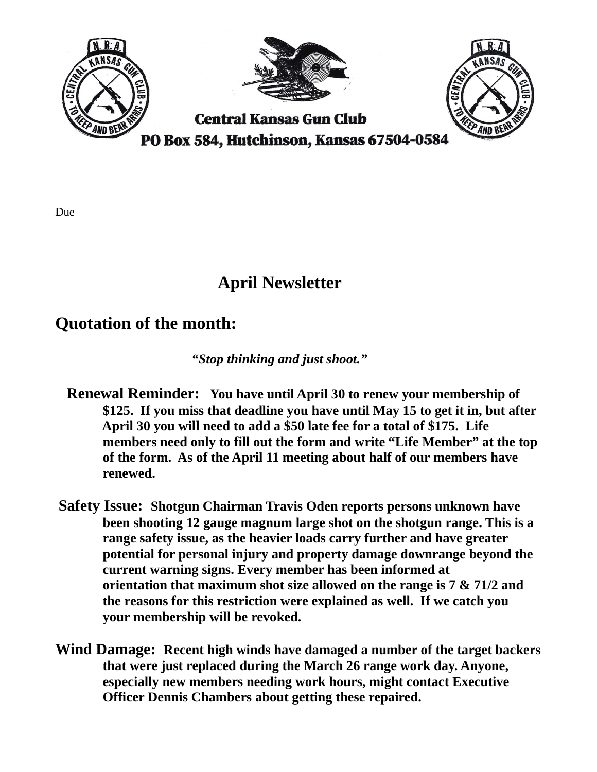

## April Newsletter

## Quotation of the month:

"Stop thinking and just shoot."

- Renewal Reminder: You have until April 30 to renew your membership of \$125. If you miss that deadline you have until May 15 to get it in, but after April 30 you will need to add a \$50 late fee for a total of \$175. Life members need only to fill out the form and write "Life Member" at the top of the form. As of the April 11 meeting about half of our members have renewed.
- Safety Issue: Shotgun Chairman Travis Oden reports persons unknown have been shooting 12 gauge magnum large shot on the shotgun range. This is a range safety issue, as the heavier loads carry further and have greater potential for personal injury and property damage downrange beyond the current warning signs. Every member has been informed at orientation that maximum shot size allowed on the range is 7 & 71/2 and the reasons for this restriction were explained as well. If we catch you your membership will be revoked.
- Wind Damage: Recent high winds have damaged a number of the target backers that were just replaced during the March 26 range work day. Anyone, especially new members needing work hours, might contact Executive Officer Dennis Chambers about getting these repaired.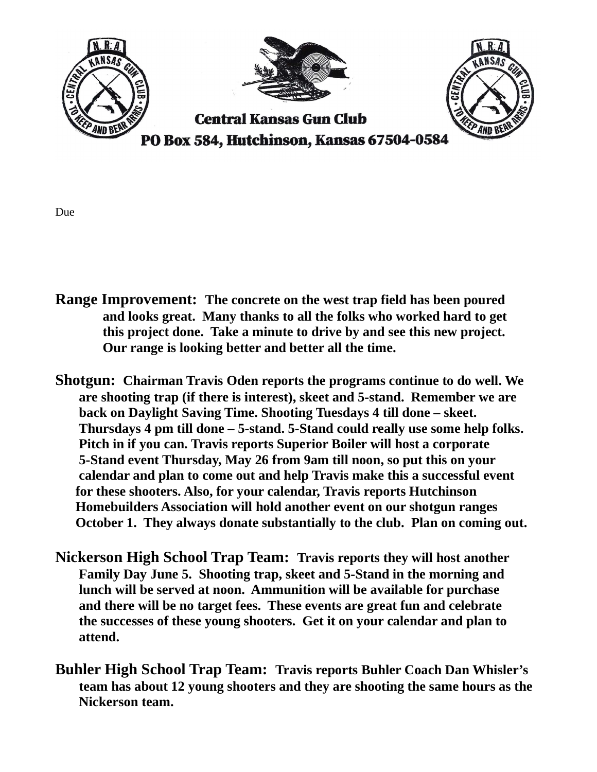

- Range Improvement: The concrete on the west trap field has been poured and looks great. Many thanks to all the folks who worked hard to get this project done. Take a minute to drive by and see this new project. Our range is looking better and better all the time.
- Shotgun: Chairman Travis Oden reports the programs continue to do well. We are shooting trap (if there is interest), skeet and 5-stand. Remember we are back on Daylight Saving Time. Shooting Tuesdays 4 till done – skeet. Thursdays 4 pm till done – 5-stand. 5-Stand could really use some help folks. Pitch in if you can. Travis reports Superior Boiler will host a corporate 5-Stand event Thursday, May 26 from 9am till noon, so put this on your calendar and plan to come out and help Travis make this a successful event for these shooters. Also, for your calendar, Travis reports Hutchinson Homebuilders Association will hold another event on our shotgun ranges October 1. They always donate substantially to the club. Plan on coming out.
- Nickerson High School Trap Team: Travis reports they will host another Family Day June 5. Shooting trap, skeet and 5-Stand in the morning and lunch will be served at noon. Ammunition will be available for purchase and there will be no target fees. These events are great fun and celebrate the successes of these young shooters. Get it on your calendar and plan to attend.
- Buhler High School Trap Team: Travis reports Buhler Coach Dan Whisler's team has about 12 young shooters and they are shooting the same hours as the Nickerson team.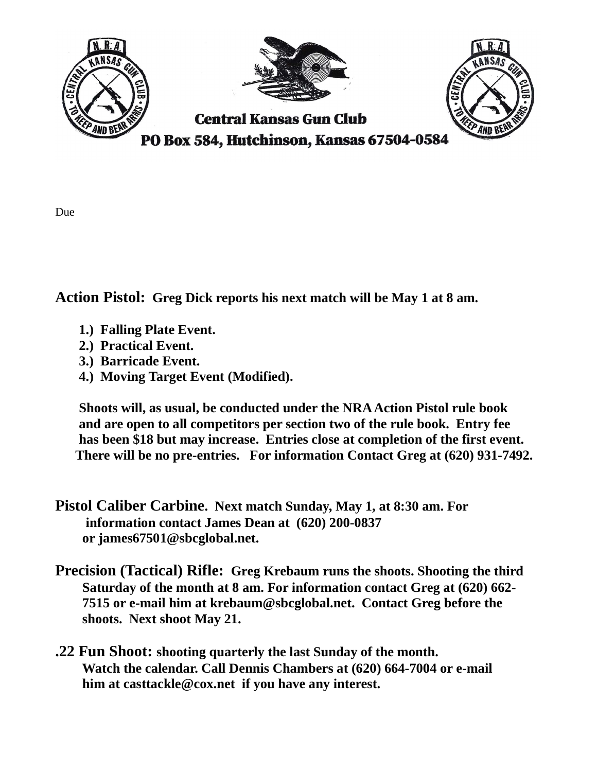

Action Pistol: Greg Dick reports his next match will be May 1 at 8 am.

- 1.) Falling Plate Event.
- 2.) Practical Event.
- 3.) Barricade Event.
- 4.) Moving Target Event (Modified).

 Shoots will, as usual, be conducted under the NRA Action Pistol rule book and are open to all competitors per section two of the rule book. Entry fee has been \$18 but may increase. Entries close at completion of the first event. There will be no pre-entries. For information Contact Greg at (620) 931-7492.

- Pistol Caliber Carbine. Next match Sunday, May 1, at 8:30 am. For information contact James Dean at (620) 200-0837 or james67501@sbcglobal.net.
- Precision (Tactical) Rifle: Greg Krebaum runs the shoots. Shooting the third Saturday of the month at 8 am. For information contact Greg at (620) 662- 7515 or e-mail him at krebaum@sbcglobal.net. Contact Greg before the shoots. Next shoot May 21.
- .22 Fun Shoot: shooting quarterly the last Sunday of the month. Watch the calendar. Call Dennis Chambers at (620) 664-7004 or e-mail him at casttackle@cox.net if you have any interest.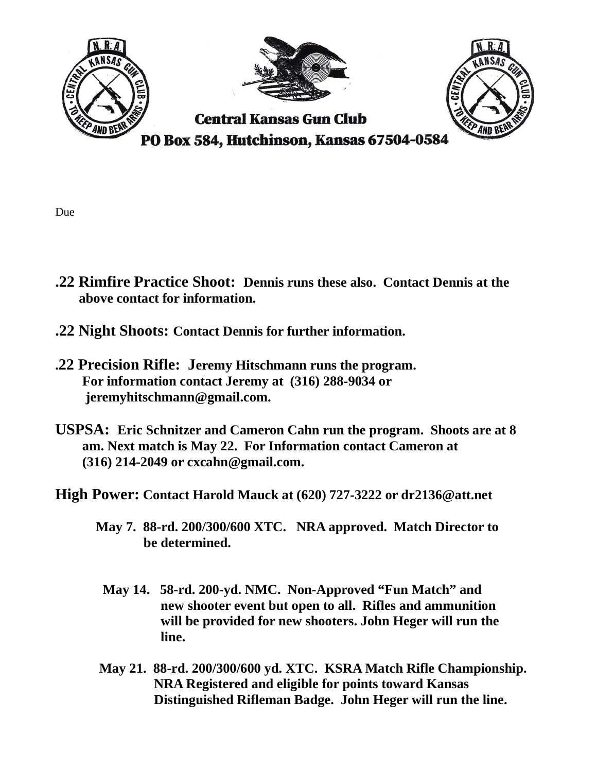

- Due
- .22 Rimfire Practice Shoot: Dennis runs these also. Contact Dennis at the above contact for information.
- .22 Night Shoots: Contact Dennis for further information.
- .22 Precision Rifle: Jeremy Hitschmann runs the program. For information contact Jeremy at (316) 288-9034 or jeremyhitschmann@gmail.com.
- USPSA: Eric Schnitzer and Cameron Cahn run the program. Shoots are at 8 am. Next match is May 22. For Information contact Cameron at (316) 214-2049 or cxcahn@gmail.com.

High Power: Contact Harold Mauck at (620) 727-3222 or dr2136@att.net

- May 7. 88-rd. 200/300/600 XTC. NRA approved. Match Director to be determined.
	- May 14. 58-rd. 200-yd. NMC. Non-Approved "Fun Match" and new shooter event but open to all. Rifles and ammunition will be provided for new shooters. John Heger will run the line.
- May 21. 88-rd. 200/300/600 yd. XTC. KSRA Match Rifle Championship. NRA Registered and eligible for points toward Kansas Distinguished Rifleman Badge. John Heger will run the line.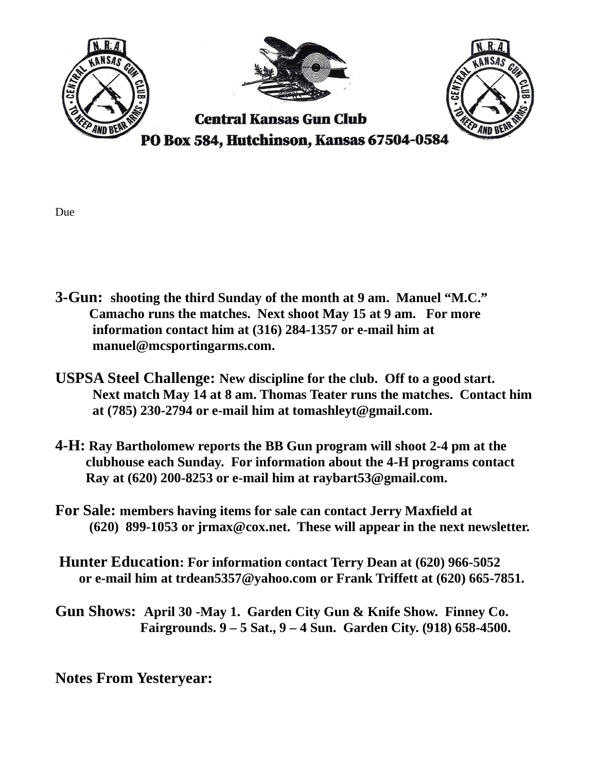

- 3-Gun: shooting the third Sunday of the month at 9 am. Manuel "M.C." Camacho runs the matches. Next shoot May 15 at 9 am. For more information contact him at (316) 284-1357 or e-mail him at manuel@mcsportingarms.com.
- USPSA Steel Challenge: New discipline for the club. Off to a good start. Next match May 14 at 8 am. Thomas Teater runs the matches. Contact him at (785) 230-2794 or e-mail him at tomashleyt@gmail.com.
- 4-H: Ray Bartholomew reports the BB Gun program will shoot 2-4 pm at the clubhouse each Sunday. For information about the 4-H programs contact Ray at (620) 200-8253 or e-mail him at raybart53@gmail.com.
- For Sale: members having items for sale can contact Jerry Maxfield at (620) 899-1053 or jrmax@cox.net. These will appear in the next newsletter.
- Hunter Education: For information contact Terry Dean at (620) 966-5052 or e-mail him at trdean5357@yahoo.com or Frank Triffett at (620) 665-7851.
- Gun Shows: April 30 -May 1. Garden City Gun & Knife Show. Finney Co. Fairgrounds. 9 – 5 Sat., 9 – 4 Sun. Garden City. (918) 658-4500.

Notes From Yesteryear: